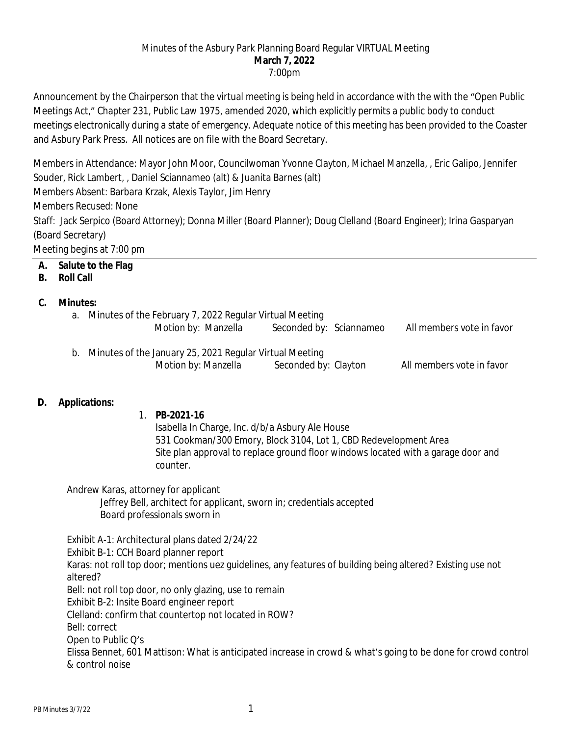#### Minutes of the Asbury Park Planning Board Regular VIRTUAL Meeting **March 7, 2022** 7:00pm

Announcement by the Chairperson that the virtual meeting is being held in accordance with the with the "Open Public Meetings Act," Chapter 231, Public Law 1975, amended 2020, which explicitly permits a public body to conduct meetings electronically during a state of emergency. Adequate notice of this meeting has been provided to the Coaster and Asbury Park Press. All notices are on file with the Board Secretary.

Members in Attendance: Mayor John Moor, Councilwoman Yvonne Clayton, Michael Manzella, , Eric Galipo, Jennifer Souder, Rick Lambert, , Daniel Sciannameo (alt) & Juanita Barnes (alt) Members Absent: Barbara Krzak, Alexis Taylor, Jim Henry Members Recused: None Staff: Jack Serpico (Board Attorney); Donna Miller (Board Planner); Doug Clelland (Board Engineer); Irina Gasparyan

(Board Secretary)

Meeting begins at 7:00 pm

# **A. Salute to the Flag**

### **B. Roll Call**

### **C. Minutes:**

- a. Minutes of the February 7, 2022 Regular Virtual Meeting Motion by: Manzella Seconded by: Sciannameo All members vote in favor
- b. Minutes of the January 25, 2021 Regular Virtual Meeting Motion by: Manzella Seconded by: Clayton All members vote in favor

## **D. Applications:**

1. **PB-2021-16**

Isabella In Charge, Inc. d/b/a Asbury Ale House 531 Cookman/300 Emory, Block 3104, Lot 1, CBD Redevelopment Area Site plan approval to replace ground floor windows located with a garage door and counter.

Andrew Karas, attorney for applicant Jeffrey Bell, architect for applicant, sworn in; credentials accepted Board professionals sworn in

Exhibit A-1: Architectural plans dated 2/24/22 Exhibit B-1: CCH Board planner report Karas: not roll top door; mentions uez guidelines, any features of building being altered? Existing use not altered? Bell: not roll top door, no only glazing, use to remain Exhibit B-2: Insite Board engineer report Clelland: confirm that countertop not located in ROW? Bell: correct Open to Public Q's Elissa Bennet, 601 Mattison: What is anticipated increase in crowd & what's going to be done for crowd control & control noise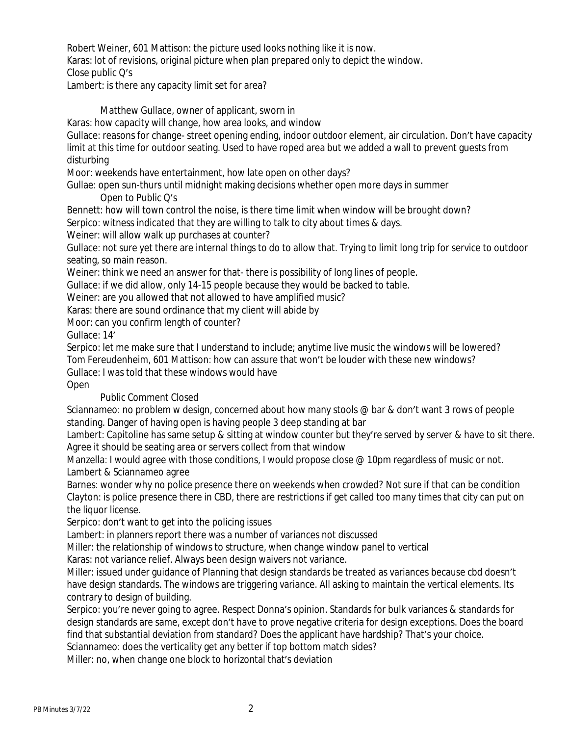Robert Weiner, 601 Mattison: the picture used looks nothing like it is now.

Karas: lot of revisions, original picture when plan prepared only to depict the window.

Close public Q's

Lambert: is there any capacity limit set for area?

Matthew Gullace, owner of applicant, sworn in

Karas: how capacity will change, how area looks, and window

Gullace: reasons for change- street opening ending, indoor outdoor element, air circulation. Don't have capacity limit at this time for outdoor seating. Used to have roped area but we added a wall to prevent guests from disturbing

Moor: weekends have entertainment, how late open on other days?

Gullae: open sun-thurs until midnight making decisions whether open more days in summer

# Open to Public Q's

Bennett: how will town control the noise, is there time limit when window will be brought down?

Serpico: witness indicated that they are willing to talk to city about times & days.

Weiner: will allow walk up purchases at counter?

Gullace: not sure yet there are internal things to do to allow that. Trying to limit long trip for service to outdoor seating, so main reason.

Weiner: think we need an answer for that- there is possibility of long lines of people.

Gullace: if we did allow, only 14-15 people because they would be backed to table.

Weiner: are you allowed that not allowed to have amplified music?

Karas: there are sound ordinance that my client will abide by

Moor: can you confirm length of counter?

Gullace: 14'

Serpico: let me make sure that I understand to include; anytime live music the windows will be lowered? Tom Fereudenheim, 601 Mattison: how can assure that won't be louder with these new windows? Gullace: I was told that these windows would have

Open

## Public Comment Closed

Sciannameo: no problem w design, concerned about how many stools @ bar & don't want 3 rows of people standing. Danger of having open is having people 3 deep standing at bar

Lambert: Capitoline has same setup & sitting at window counter but they're served by server & have to sit there. Agree it should be seating area or servers collect from that window

Manzella: I would agree with those conditions, I would propose close @ 10pm regardless of music or not. Lambert & Sciannameo agree

Barnes: wonder why no police presence there on weekends when crowded? Not sure if that can be condition Clayton: is police presence there in CBD, there are restrictions if get called too many times that city can put on the liquor license.

Serpico: don't want to get into the policing issues

Lambert: in planners report there was a number of variances not discussed

Miller: the relationship of windows to structure, when change window panel to vertical

Karas: not variance relief. Always been design waivers not variance.

Miller: issued under guidance of Planning that design standards be treated as variances because cbd doesn't have design standards. The windows are triggering variance. All asking to maintain the vertical elements. Its contrary to design of building.

Serpico: you're never going to agree. Respect Donna's opinion. Standards for bulk variances & standards for design standards are same, except don't have to prove negative criteria for design exceptions. Does the board find that substantial deviation from standard? Does the applicant have hardship? That's your choice.

Sciannameo: does the verticality get any better if top bottom match sides?

Miller: no, when change one block to horizontal that's deviation